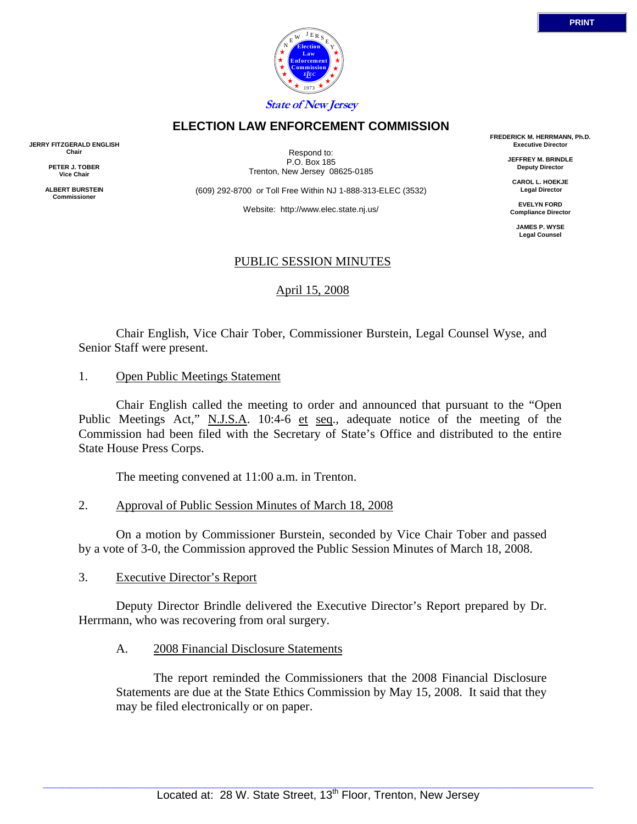

## **ELECTION LAW ENFORCEMENT COMMISSION**

**JERRY FITZGERALD ENGLISH Chair** 

> **PETER J. TOBER Vice Chair**

**ALBERT BURSTEIN Commissioner** 

Respond to: P.O. Box 185 Trenton, New Jersey 08625-0185

(609) 292-8700 or Toll Free Within NJ 1-888-313-ELEC (3532)

Website: http://www.elec.state.nj.us/

**FREDERICK M. HERRMANN, Ph.D. Executive Director** 

> **JEFFREY M. BRINDLE Deputy Director**

**CAROL L. HOEKJE Legal Director** 

**EVELYN FORD Compliance Director** 

> **JAMES P. WYSE Legal Counsel**

# PUBLIC SESSION MINUTES

# April 15, 2008

 Chair English, Vice Chair Tober, Commissioner Burstein, Legal Counsel Wyse, and Senior Staff were present.

1. Open Public Meetings Statement

 Chair English called the meeting to order and announced that pursuant to the "Open Public Meetings Act," N.J.S.A. 10:4-6 et seq., adequate notice of the meeting of the Commission had been filed with the Secretary of State's Office and distributed to the entire State House Press Corps.

The meeting convened at 11:00 a.m. in Trenton.

2. Approval of Public Session Minutes of March 18, 2008

 On a motion by Commissioner Burstein, seconded by Vice Chair Tober and passed by a vote of 3-0, the Commission approved the Public Session Minutes of March 18, 2008.

3. Executive Director's Report

Deputy Director Brindle delivered the Executive Director's Report prepared by Dr. Herrmann, who was recovering from oral surgery.

A. 2008 Financial Disclosure Statements

 The report reminded the Commissioners that the 2008 Financial Disclosure Statements are due at the State Ethics Commission by May 15, 2008. It said that they may be filed electronically or on paper.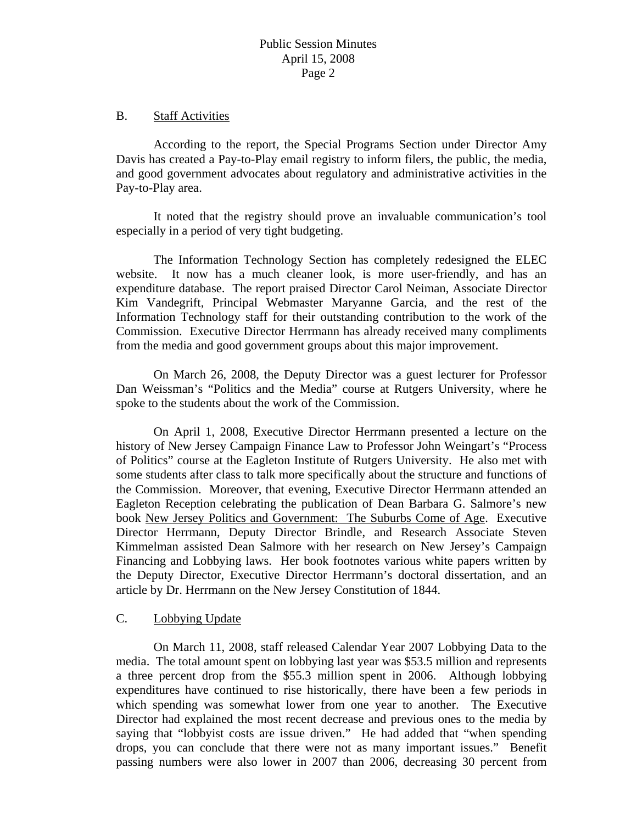#### B. Staff Activities

 According to the report, the Special Programs Section under Director Amy Davis has created a Pay-to-Play email registry to inform filers, the public, the media, and good government advocates about regulatory and administrative activities in the Pay-to-Play area.

 It noted that the registry should prove an invaluable communication's tool especially in a period of very tight budgeting.

 The Information Technology Section has completely redesigned the ELEC website. It now has a much cleaner look, is more user-friendly, and has an expenditure database. The report praised Director Carol Neiman, Associate Director Kim Vandegrift, Principal Webmaster Maryanne Garcia, and the rest of the Information Technology staff for their outstanding contribution to the work of the Commission. Executive Director Herrmann has already received many compliments from the media and good government groups about this major improvement.

 On March 26, 2008, the Deputy Director was a guest lecturer for Professor Dan Weissman's "Politics and the Media" course at Rutgers University, where he spoke to the students about the work of the Commission.

 On April 1, 2008, Executive Director Herrmann presented a lecture on the history of New Jersey Campaign Finance Law to Professor John Weingart's "Process of Politics" course at the Eagleton Institute of Rutgers University. He also met with some students after class to talk more specifically about the structure and functions of the Commission. Moreover, that evening, Executive Director Herrmann attended an Eagleton Reception celebrating the publication of Dean Barbara G. Salmore's new book New Jersey Politics and Government: The Suburbs Come of Age. Executive Director Herrmann, Deputy Director Brindle, and Research Associate Steven Kimmelman assisted Dean Salmore with her research on New Jersey's Campaign Financing and Lobbying laws. Her book footnotes various white papers written by the Deputy Director, Executive Director Herrmann's doctoral dissertation, and an article by Dr. Herrmann on the New Jersey Constitution of 1844.

#### C. Lobbying Update

 On March 11, 2008, staff released Calendar Year 2007 Lobbying Data to the media. The total amount spent on lobbying last year was \$53.5 million and represents a three percent drop from the \$55.3 million spent in 2006. Although lobbying expenditures have continued to rise historically, there have been a few periods in which spending was somewhat lower from one year to another. The Executive Director had explained the most recent decrease and previous ones to the media by saying that "lobbyist costs are issue driven." He had added that "when spending drops, you can conclude that there were not as many important issues." Benefit passing numbers were also lower in 2007 than 2006, decreasing 30 percent from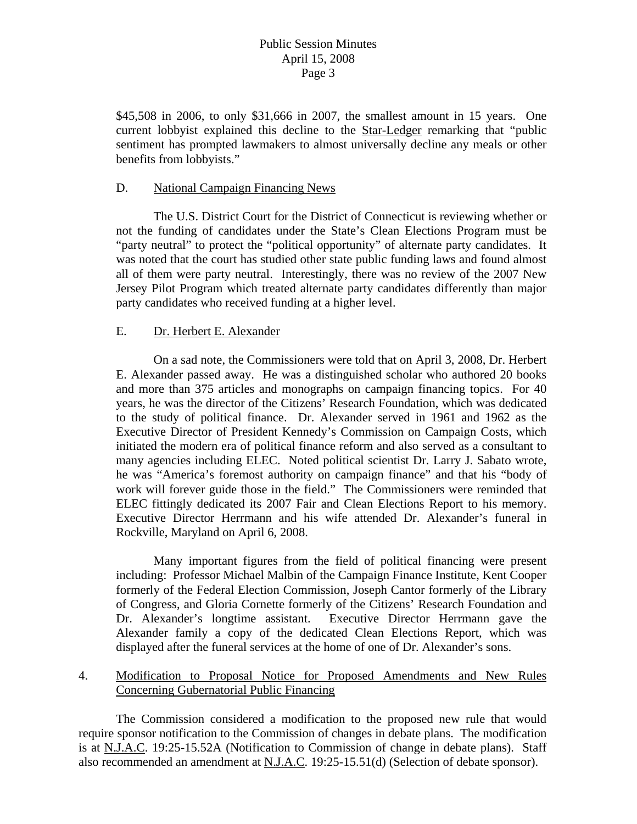\$45,508 in 2006, to only \$31,666 in 2007, the smallest amount in 15 years. One current lobbyist explained this decline to the Star-Ledger remarking that "public sentiment has prompted lawmakers to almost universally decline any meals or other benefits from lobbyists."

### D. National Campaign Financing News

 The U.S. District Court for the District of Connecticut is reviewing whether or not the funding of candidates under the State's Clean Elections Program must be "party neutral" to protect the "political opportunity" of alternate party candidates. It was noted that the court has studied other state public funding laws and found almost all of them were party neutral. Interestingly, there was no review of the 2007 New Jersey Pilot Program which treated alternate party candidates differently than major party candidates who received funding at a higher level.

# E. Dr. Herbert E. Alexander

 On a sad note, the Commissioners were told that on April 3, 2008, Dr. Herbert E. Alexander passed away. He was a distinguished scholar who authored 20 books and more than 375 articles and monographs on campaign financing topics. For 40 years, he was the director of the Citizens' Research Foundation, which was dedicated to the study of political finance. Dr. Alexander served in 1961 and 1962 as the Executive Director of President Kennedy's Commission on Campaign Costs, which initiated the modern era of political finance reform and also served as a consultant to many agencies including ELEC. Noted political scientist Dr. Larry J. Sabato wrote, he was "America's foremost authority on campaign finance" and that his "body of work will forever guide those in the field." The Commissioners were reminded that ELEC fittingly dedicated its 2007 Fair and Clean Elections Report to his memory. Executive Director Herrmann and his wife attended Dr. Alexander's funeral in Rockville, Maryland on April 6, 2008.

 Many important figures from the field of political financing were present including: Professor Michael Malbin of the Campaign Finance Institute, Kent Cooper formerly of the Federal Election Commission, Joseph Cantor formerly of the Library of Congress, and Gloria Cornette formerly of the Citizens' Research Foundation and Dr. Alexander's longtime assistant. Executive Director Herrmann gave the Alexander family a copy of the dedicated Clean Elections Report, which was displayed after the funeral services at the home of one of Dr. Alexander's sons.

4. Modification to Proposal Notice for Proposed Amendments and New Rules Concerning Gubernatorial Public Financing

 The Commission considered a modification to the proposed new rule that would require sponsor notification to the Commission of changes in debate plans. The modification is at N.J.A.C. 19:25-15.52A (Notification to Commission of change in debate plans). Staff also recommended an amendment at N.J.A.C. 19:25-15.51(d) (Selection of debate sponsor).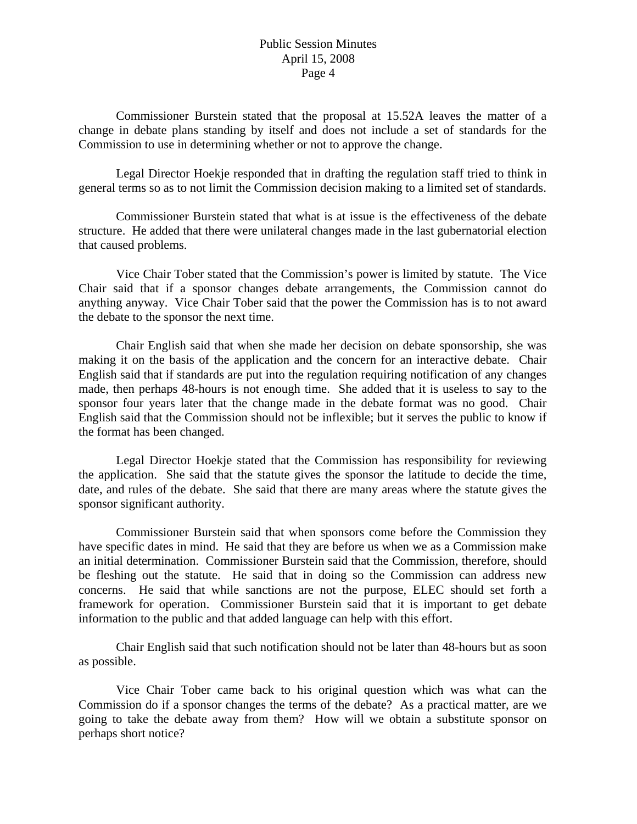Commissioner Burstein stated that the proposal at 15.52A leaves the matter of a change in debate plans standing by itself and does not include a set of standards for the Commission to use in determining whether or not to approve the change.

 Legal Director Hoekje responded that in drafting the regulation staff tried to think in general terms so as to not limit the Commission decision making to a limited set of standards.

 Commissioner Burstein stated that what is at issue is the effectiveness of the debate structure. He added that there were unilateral changes made in the last gubernatorial election that caused problems.

 Vice Chair Tober stated that the Commission's power is limited by statute. The Vice Chair said that if a sponsor changes debate arrangements, the Commission cannot do anything anyway. Vice Chair Tober said that the power the Commission has is to not award the debate to the sponsor the next time.

 Chair English said that when she made her decision on debate sponsorship, she was making it on the basis of the application and the concern for an interactive debate. Chair English said that if standards are put into the regulation requiring notification of any changes made, then perhaps 48-hours is not enough time. She added that it is useless to say to the sponsor four years later that the change made in the debate format was no good. Chair English said that the Commission should not be inflexible; but it serves the public to know if the format has been changed.

 Legal Director Hoekje stated that the Commission has responsibility for reviewing the application. She said that the statute gives the sponsor the latitude to decide the time, date, and rules of the debate. She said that there are many areas where the statute gives the sponsor significant authority.

 Commissioner Burstein said that when sponsors come before the Commission they have specific dates in mind. He said that they are before us when we as a Commission make an initial determination. Commissioner Burstein said that the Commission, therefore, should be fleshing out the statute. He said that in doing so the Commission can address new concerns. He said that while sanctions are not the purpose, ELEC should set forth a framework for operation. Commissioner Burstein said that it is important to get debate information to the public and that added language can help with this effort.

 Chair English said that such notification should not be later than 48-hours but as soon as possible.

 Vice Chair Tober came back to his original question which was what can the Commission do if a sponsor changes the terms of the debate? As a practical matter, are we going to take the debate away from them? How will we obtain a substitute sponsor on perhaps short notice?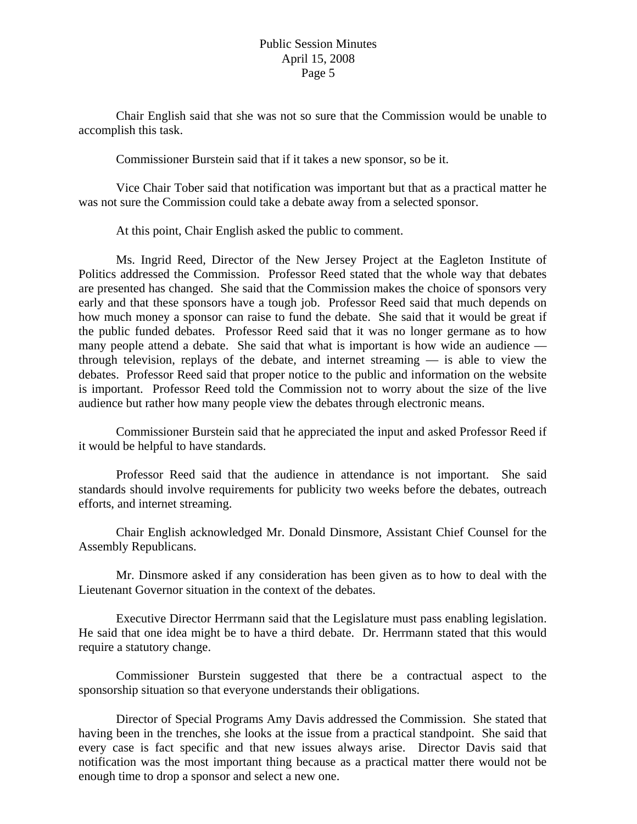Chair English said that she was not so sure that the Commission would be unable to accomplish this task.

Commissioner Burstein said that if it takes a new sponsor, so be it.

 Vice Chair Tober said that notification was important but that as a practical matter he was not sure the Commission could take a debate away from a selected sponsor.

At this point, Chair English asked the public to comment.

 Ms. Ingrid Reed, Director of the New Jersey Project at the Eagleton Institute of Politics addressed the Commission. Professor Reed stated that the whole way that debates are presented has changed. She said that the Commission makes the choice of sponsors very early and that these sponsors have a tough job. Professor Reed said that much depends on how much money a sponsor can raise to fund the debate. She said that it would be great if the public funded debates. Professor Reed said that it was no longer germane as to how many people attend a debate. She said that what is important is how wide an audience through television, replays of the debate, and internet streaming — is able to view the debates. Professor Reed said that proper notice to the public and information on the website is important. Professor Reed told the Commission not to worry about the size of the live audience but rather how many people view the debates through electronic means.

 Commissioner Burstein said that he appreciated the input and asked Professor Reed if it would be helpful to have standards.

 Professor Reed said that the audience in attendance is not important. She said standards should involve requirements for publicity two weeks before the debates, outreach efforts, and internet streaming.

 Chair English acknowledged Mr. Donald Dinsmore, Assistant Chief Counsel for the Assembly Republicans.

 Mr. Dinsmore asked if any consideration has been given as to how to deal with the Lieutenant Governor situation in the context of the debates.

 Executive Director Herrmann said that the Legislature must pass enabling legislation. He said that one idea might be to have a third debate. Dr. Herrmann stated that this would require a statutory change.

 Commissioner Burstein suggested that there be a contractual aspect to the sponsorship situation so that everyone understands their obligations.

 Director of Special Programs Amy Davis addressed the Commission. She stated that having been in the trenches, she looks at the issue from a practical standpoint. She said that every case is fact specific and that new issues always arise. Director Davis said that notification was the most important thing because as a practical matter there would not be enough time to drop a sponsor and select a new one.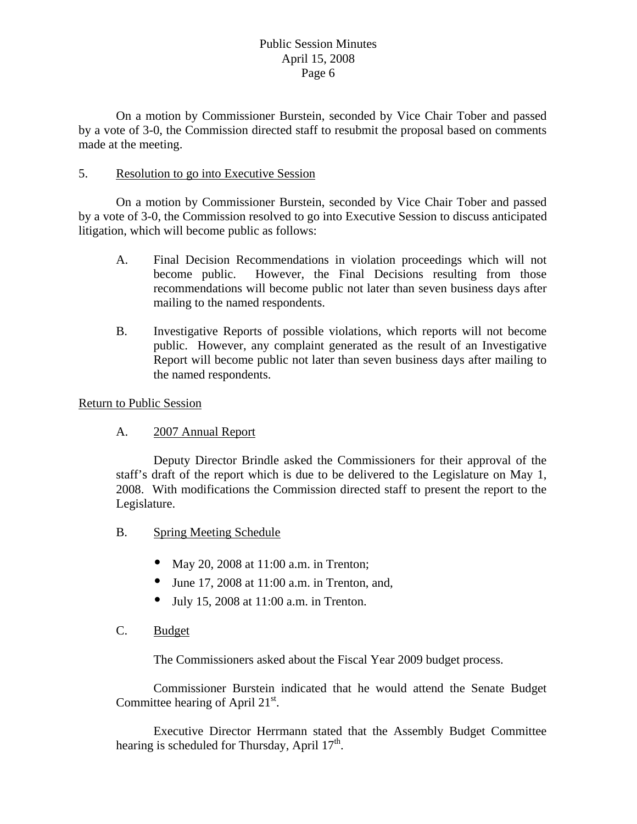On a motion by Commissioner Burstein, seconded by Vice Chair Tober and passed by a vote of 3-0, the Commission directed staff to resubmit the proposal based on comments made at the meeting.

#### 5. Resolution to go into Executive Session

 On a motion by Commissioner Burstein, seconded by Vice Chair Tober and passed by a vote of 3-0, the Commission resolved to go into Executive Session to discuss anticipated litigation, which will become public as follows:

- A. Final Decision Recommendations in violation proceedings which will not become public. However, the Final Decisions resulting from those recommendations will become public not later than seven business days after mailing to the named respondents.
- B. Investigative Reports of possible violations, which reports will not become public. However, any complaint generated as the result of an Investigative Report will become public not later than seven business days after mailing to the named respondents.

#### Return to Public Session

A. 2007 Annual Report

 Deputy Director Brindle asked the Commissioners for their approval of the staff's draft of the report which is due to be delivered to the Legislature on May 1, 2008. With modifications the Commission directed staff to present the report to the Legislature.

- B. Spring Meeting Schedule
	- May 20, 2008 at  $11:00$  a.m. in Trenton;
	- June 17, 2008 at  $11:00$  a.m. in Trenton, and,
	- $\bullet$  July 15, 2008 at 11:00 a.m. in Trenton.
- C. Budget

The Commissioners asked about the Fiscal Year 2009 budget process.

 Commissioner Burstein indicated that he would attend the Senate Budget Committee hearing of April 21<sup>st</sup>.

 Executive Director Herrmann stated that the Assembly Budget Committee hearing is scheduled for Thursday, April  $17<sup>th</sup>$ .